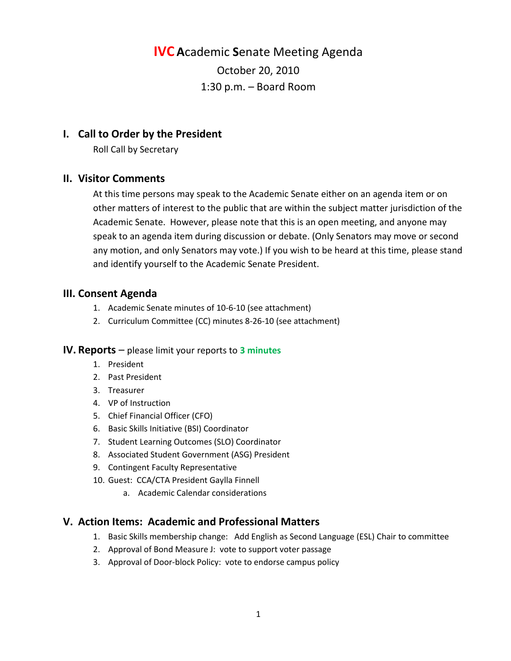**IVC A**cademic **S**enate Meeting Agenda October 20, 2010 1:30 p.m. – Board Room

# **I. Call to Order by the President**

Roll Call by Secretary

## **II. Visitor Comments**

At this time persons may speak to the Academic Senate either on an agenda item or on other matters of interest to the public that are within the subject matter jurisdiction of the Academic Senate. However, please note that this is an open meeting, and anyone may speak to an agenda item during discussion or debate. (Only Senators may move or second any motion, and only Senators may vote.) If you wish to be heard at this time, please stand and identify yourself to the Academic Senate President.

## **III. Consent Agenda**

- 1. Academic Senate minutes of 10-6-10 (see attachment)
- 2. Curriculum Committee (CC) minutes 8-26-10 (see attachment)

#### **IV. Reports** – please limit your reports to **3 minutes**

- 1. President
- 2. Past President
- 3. Treasurer
- 4. VP of Instruction
- 5. Chief Financial Officer (CFO)
- 6. Basic Skills Initiative (BSI) Coordinator
- 7. Student Learning Outcomes (SLO) Coordinator
- 8. Associated Student Government (ASG) President
- 9. Contingent Faculty Representative
- 10. Guest: CCA/CTA President Gaylla Finnell
	- a. Academic Calendar considerations

## **V. Action Items: Academic and Professional Matters**

- 1. Basic Skills membership change: Add English as Second Language (ESL) Chair to committee
- 2. Approval of Bond Measure J: vote to support voter passage
- 3. Approval of Door-block Policy: vote to endorse campus policy